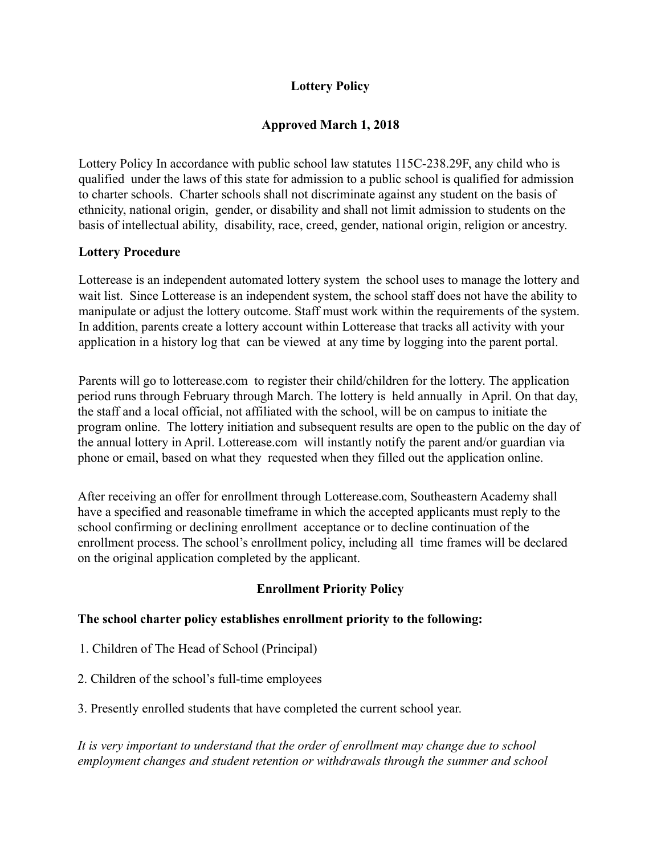# **Lottery Policy**

# **Approved March 1, 2018**

Lottery Policy In accordance with public school law statutes 115C-238.29F, any child who is qualified under the laws of this state for admission to a public school is qualified for admission to charter schools. Charter schools shall not discriminate against any student on the basis of ethnicity, national origin, gender, or disability and shall not limit admission to students on the basis of intellectual ability, disability, race, creed, gender, national origin, religion or ancestry.

## **Lottery Procedure**

Lotterease is an independent automated lottery system the school uses to manage the lottery and wait list. Since Lotterease is an independent system, the school staff does not have the ability to manipulate or adjust the lottery outcome. Staff must work within the requirements of the system. In addition, parents create a lottery account within Lotterease that tracks all activity with your application in a history log that can be viewed at any time by logging into the parent portal.

Parents will go to lotterease.com to register their child/children for the lottery. The application period runs through February through March. The lottery is held annually in April. On that day, the staff and a local official, not affiliated with the school, will be on campus to initiate the program online. The lottery initiation and subsequent results are open to the public on the day of the annual lottery in April. Lotterease.com will instantly notify the parent and/or guardian via phone or email, based on what they requested when they filled out the application online.

After receiving an offer for enrollment through Lotterease.com, Southeastern Academy shall have a specified and reasonable timeframe in which the accepted applicants must reply to the school confirming or declining enrollment acceptance or to decline continuation of the enrollment process. The school's enrollment policy, including all time frames will be declared on the original application completed by the applicant.

## **Enrollment Priority Policy**

## **The school charter policy establishes enrollment priority to the following:**

- 1. Children of The Head of School (Principal)
- 2. Children of the school's full-time employees
- 3. Presently enrolled students that have completed the current school year.

*It is very important to understand that the order of enrollment may change due to school employment changes and student retention or withdrawals through the summer and school*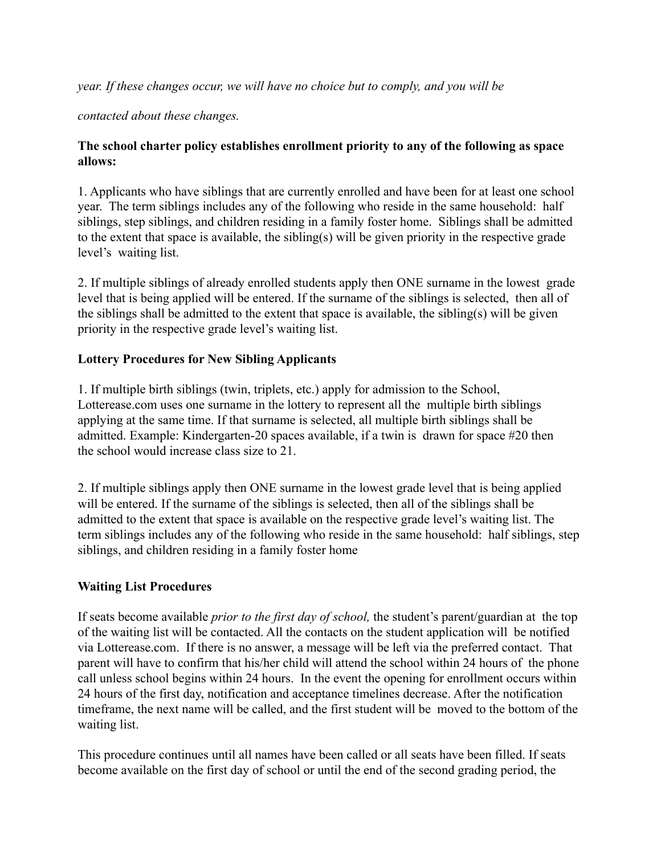*year. If these changes occur, we will have no choice but to comply, and you will be*

*contacted about these changes.*

## **The school charter policy establishes enrollment priority to any of the following as space allows:**

1. Applicants who have siblings that are currently enrolled and have been for at least one school year. The term siblings includes any of the following who reside in the same household: half siblings, step siblings, and children residing in a family foster home. Siblings shall be admitted to the extent that space is available, the sibling(s) will be given priority in the respective grade level's waiting list.

2. If multiple siblings of already enrolled students apply then ONE surname in the lowest grade level that is being applied will be entered. If the surname of the siblings is selected, then all of the siblings shall be admitted to the extent that space is available, the sibling(s) will be given priority in the respective grade level's waiting list.

## **Lottery Procedures for New Sibling Applicants**

1. If multiple birth siblings (twin, triplets, etc.) apply for admission to the School, Lotterease.com uses one surname in the lottery to represent all the multiple birth siblings applying at the same time. If that surname is selected, all multiple birth siblings shall be admitted. Example: Kindergarten-20 spaces available, if a twin is drawn for space #20 then the school would increase class size to 21.

2. If multiple siblings apply then ONE surname in the lowest grade level that is being applied will be entered. If the surname of the siblings is selected, then all of the siblings shall be admitted to the extent that space is available on the respective grade level's waiting list. The term siblings includes any of the following who reside in the same household: half siblings, step siblings, and children residing in a family foster home

## **Waiting List Procedures**

If seats become available *prior to the first day of school,* the student's parent/guardian at the top of the waiting list will be contacted. All the contacts on the student application will be notified via Lotterease.com. If there is no answer, a message will be left via the preferred contact. That parent will have to confirm that his/her child will attend the school within 24 hours of the phone call unless school begins within 24 hours. In the event the opening for enrollment occurs within 24 hours of the first day, notification and acceptance timelines decrease. After the notification timeframe, the next name will be called, and the first student will be moved to the bottom of the waiting list.

This procedure continues until all names have been called or all seats have been filled. If seats become available on the first day of school or until the end of the second grading period, the